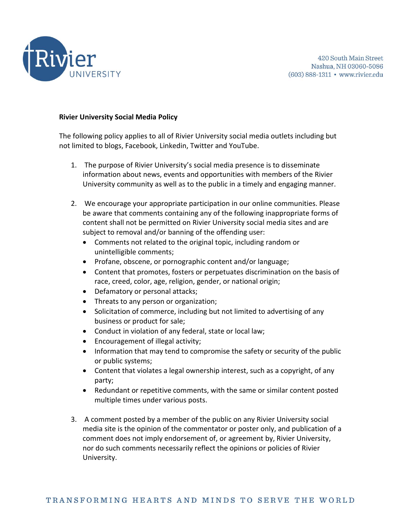

## **Rivier University Social Media Policy**

The following policy applies to all of Rivier University social media outlets including but not limited to blogs, Facebook, Linkedin, Twitter and YouTube.

- 1. The purpose of Rivier University's social media presence is to disseminate information about news, events and opportunities with members of the Rivier University community as well as to the public in a timely and engaging manner.
- 2. We encourage your appropriate participation in our online communities. Please be aware that comments containing any of the following inappropriate forms of content shall not be permitted on Rivier University social media sites and are subject to removal and/or banning of the offending user:
	- Comments not related to the original topic, including random or unintelligible comments;
	- Profane, obscene, or pornographic content and/or language;
	- Content that promotes, fosters or perpetuates discrimination on the basis of race, creed, color, age, religion, gender, or national origin;
	- Defamatory or personal attacks;
	- Threats to any person or organization;
	- Solicitation of commerce, including but not limited to advertising of any business or product for sale;
	- Conduct in violation of any federal, state or local law;
	- Encouragement of illegal activity;
	- Information that may tend to compromise the safety or security of the public or public systems;
	- Content that violates a legal ownership interest, such as a copyright, of any party;
	- Redundant or repetitive comments, with the same or similar content posted multiple times under various posts.
- 3. A comment posted by a member of the public on any Rivier University social media site is the opinion of the commentator or poster only, and publication of a comment does not imply endorsement of, or agreement by, Rivier University, nor do such comments necessarily reflect the opinions or policies of Rivier University.